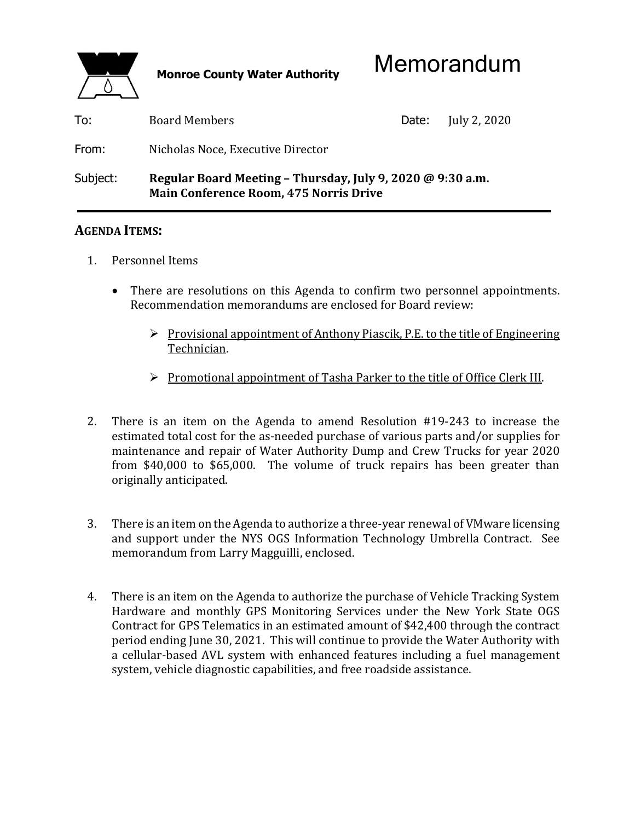

| To:      | Board Members                                                                                               | Date: | July 2, 2020 |
|----------|-------------------------------------------------------------------------------------------------------------|-------|--------------|
| From:    | Nicholas Noce, Executive Director                                                                           |       |              |
| Subject: | Regular Board Meeting - Thursday, July 9, 2020 @ 9:30 a.m.<br><b>Main Conference Room, 475 Norris Drive</b> |       |              |

## **AGENDA ITEMS:**

- 1. Personnel Items
	- There are resolutions on this Agenda to confirm two personnel appointments. Recommendation memorandums are enclosed for Board review:
		- $\triangleright$  Provisional appointment of Anthony Piascik, P.E. to the title of Engineering Technician.
		- Promotional appointment of Tasha Parker to the title of Office Clerk III.
- 2. There is an item on the Agenda to amend Resolution #19-243 to increase the estimated total cost for the as-needed purchase of various parts and/or supplies for maintenance and repair of Water Authority Dump and Crew Trucks for year 2020 from \$40,000 to \$65,000. The volume of truck repairs has been greater than originally anticipated.
- 3. There is an item on the Agenda to authorize a three-year renewal of VMware licensing and support under the NYS OGS Information Technology Umbrella Contract. See memorandum from Larry Magguilli, enclosed.
- 4. There is an item on the Agenda to authorize the purchase of Vehicle Tracking System Hardware and monthly GPS Monitoring Services under the New York State OGS Contract for GPS Telematics in an estimated amount of \$42,400 through the contract period ending June 30, 2021. This will continue to provide the Water Authority with a cellular-based AVL system with enhanced features including a fuel management system, vehicle diagnostic capabilities, and free roadside assistance.